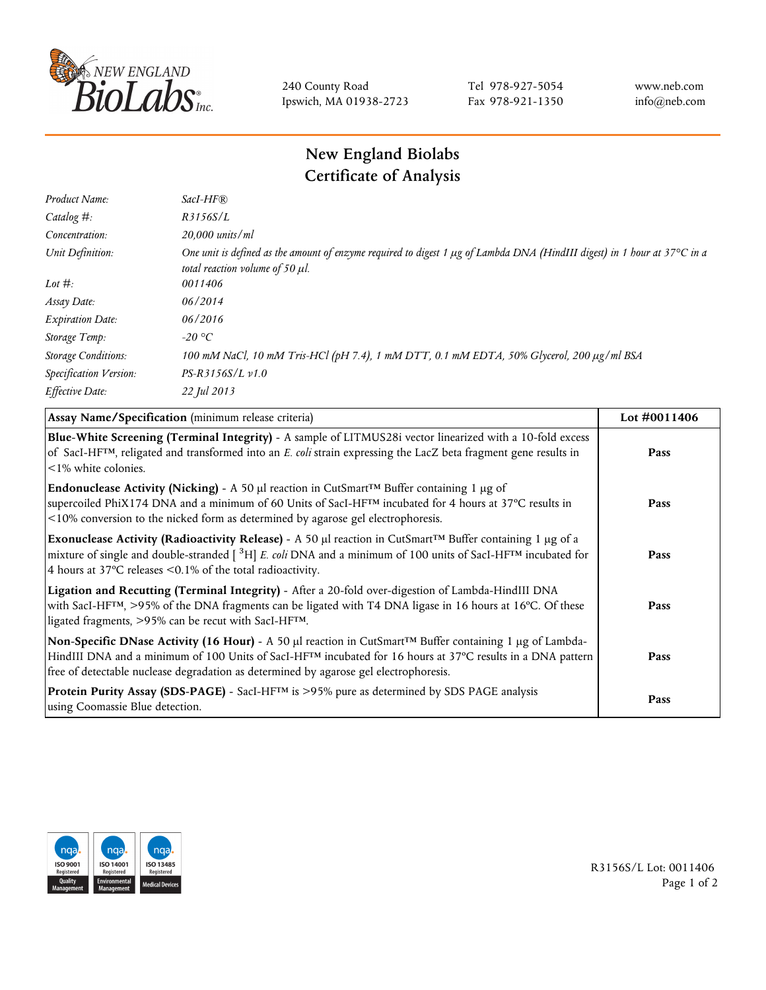

240 County Road Ipswich, MA 01938-2723 Tel 978-927-5054 Fax 978-921-1350 www.neb.com info@neb.com

## **New England Biolabs Certificate of Analysis**

| Product Name:              | $SacI-HF$ $R$                                                                                                                                                          |
|----------------------------|------------------------------------------------------------------------------------------------------------------------------------------------------------------------|
| Catalog #:                 | R3156S/L                                                                                                                                                               |
| Concentration:             | $20,000$ units/ml                                                                                                                                                      |
| Unit Definition:           | One unit is defined as the amount of enzyme required to digest 1 $\mu$ g of Lambda DNA (HindIII digest) in 1 hour at 37°C in a<br>total reaction volume of 50 $\mu$ l. |
| Lot $\#$ :                 | 0011406                                                                                                                                                                |
| Assay Date:                | 06/2014                                                                                                                                                                |
| <b>Expiration Date:</b>    | 06/2016                                                                                                                                                                |
| Storage Temp:              | -20 °C                                                                                                                                                                 |
| <b>Storage Conditions:</b> | 100 mM NaCl, 10 mM Tris-HCl (pH 7.4), 1 mM DTT, 0.1 mM EDTA, 50% Glycerol, 200 μg/ml BSA                                                                               |
| Specification Version:     | $PS-R3156S/L \nu 1.0$                                                                                                                                                  |
| Effective Date:            | 22 Jul 2013                                                                                                                                                            |

| Assay Name/Specification (minimum release criteria)                                                                                                                                                                                                                                                                                         | Lot $\#0011406$ |
|---------------------------------------------------------------------------------------------------------------------------------------------------------------------------------------------------------------------------------------------------------------------------------------------------------------------------------------------|-----------------|
| Blue-White Screening (Terminal Integrity) - A sample of LITMUS28i vector linearized with a 10-fold excess<br>of SacI-HF <sup>TM</sup> , religated and transformed into an E. coli strain expressing the LacZ beta fragment gene results in<br>$\leq$ 1% white colonies.                                                                     | Pass            |
| <b>Endonuclease Activity (Nicking)</b> - A 50 µl reaction in CutSmart <sup>TM</sup> Buffer containing 1 µg of<br>supercoiled PhiX174 DNA and a minimum of 60 Units of SacI-HFTM incubated for 4 hours at 37°C results in<br><10% conversion to the nicked form as determined by agarose gel electrophoresis.                                | Pass            |
| Exonuclease Activity (Radioactivity Release) - A 50 $\mu$ l reaction in CutSmart <sup>TM</sup> Buffer containing 1 $\mu$ g of a<br>mixture of single and double-stranded $[{}^{3}H]$ E. coli DNA and a minimum of 100 units of SacI-HF <sup>TM</sup> incubated for<br>4 hours at 37 $\degree$ C releases < 0.1% of the total radioactivity. | Pass            |
| Ligation and Recutting (Terminal Integrity) - After a 20-fold over-digestion of Lambda-HindIII DNA<br>with SacI-HF <sup>TM</sup> , >95% of the DNA fragments can be ligated with T4 DNA ligase in 16 hours at 16°C. Of these<br>ligated fragments, >95% can be recut with SacI-HFTM.                                                        | Pass            |
| Non-Specific DNase Activity (16 Hour) - A 50 µl reaction in CutSmart™ Buffer containing 1 µg of Lambda-<br>HindIII DNA and a minimum of 100 Units of SacI-HF <sup>TM</sup> incubated for 16 hours at 37°C results in a DNA pattern<br>free of detectable nuclease degradation as determined by agarose gel electrophoresis.                 | Pass            |
| Protein Purity Assay (SDS-PAGE) - SacI-HF™ is >95% pure as determined by SDS PAGE analysis<br>using Coomassie Blue detection.                                                                                                                                                                                                               | Pass            |



R3156S/L Lot: 0011406 Page 1 of 2